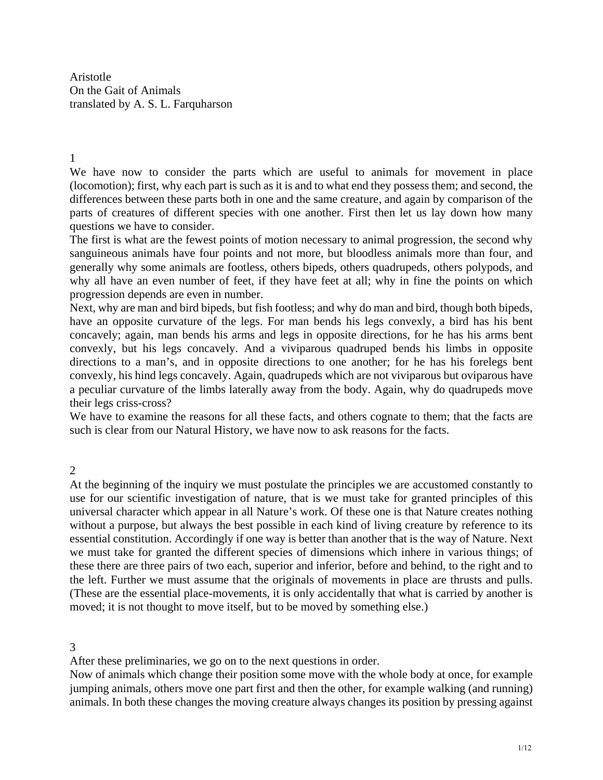Aristotle On the Gait of Animals translated by A. S. L. Farquharson

1

We have now to consider the parts which are useful to animals for movement in place (locomotion); first, why each part is such as it is and to what end they possess them; and second, the differences between these parts both in one and the same creature, and again by comparison of the parts of creatures of different species with one another. First then let us lay down how many questions we have to consider.

The first is what are the fewest points of motion necessary to animal progression, the second why sanguineous animals have four points and not more, but bloodless animals more than four, and generally why some animals are footless, others bipeds, others quadrupeds, others polypods, and why all have an even number of feet, if they have feet at all; why in fine the points on which progression depends are even in number.

Next, why are man and bird bipeds, but fish footless; and why do man and bird, though both bipeds, have an opposite curvature of the legs. For man bends his legs convexly, a bird has his bent concavely; again, man bends his arms and legs in opposite directions, for he has his arms bent convexly, but his legs concavely. And a viviparous quadruped bends his limbs in opposite directions to a man's, and in opposite directions to one another; for he has his forelegs bent convexly, his hind legs concavely. Again, quadrupeds which are not viviparous but oviparous have a peculiar curvature of the limbs laterally away from the body. Again, why do quadrupeds move their legs criss-cross?

We have to examine the reasons for all these facts, and others cognate to them; that the facts are such is clear from our Natural History, we have now to ask reasons for the facts.

2

At the beginning of the inquiry we must postulate the principles we are accustomed constantly to use for our scientific investigation of nature, that is we must take for granted principles of this universal character which appear in all Nature's work. Of these one is that Nature creates nothing without a purpose, but always the best possible in each kind of living creature by reference to its essential constitution. Accordingly if one way is better than another that is the way of Nature. Next we must take for granted the different species of dimensions which inhere in various things; of these there are three pairs of two each, superior and inferior, before and behind, to the right and to the left. Further we must assume that the originals of movements in place are thrusts and pulls. (These are the essential place-movements, it is only accidentally that what is carried by another is moved; it is not thought to move itself, but to be moved by something else.)

3

After these preliminaries, we go on to the next questions in order.

Now of animals which change their position some move with the whole body at once, for example jumping animals, others move one part first and then the other, for example walking (and running) animals. In both these changes the moving creature always changes its position by pressing against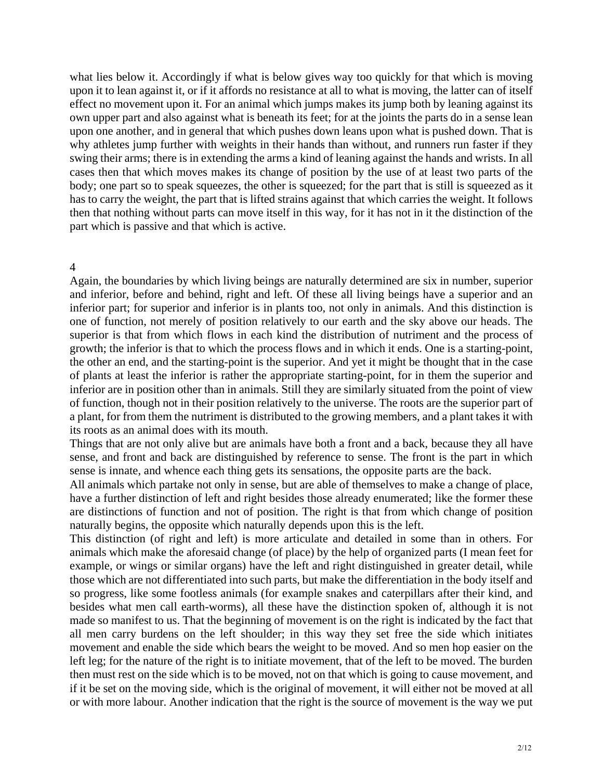what lies below it. Accordingly if what is below gives way too quickly for that which is moving upon it to lean against it, or if it affords no resistance at all to what is moving, the latter can of itself effect no movement upon it. For an animal which jumps makes its jump both by leaning against its own upper part and also against what is beneath its feet; for at the joints the parts do in a sense lean upon one another, and in general that which pushes down leans upon what is pushed down. That is why athletes jump further with weights in their hands than without, and runners run faster if they swing their arms; there is in extending the arms a kind of leaning against the hands and wrists. In all cases then that which moves makes its change of position by the use of at least two parts of the body; one part so to speak squeezes, the other is squeezed; for the part that is still is squeezed as it has to carry the weight, the part that is lifted strains against that which carries the weight. It follows then that nothing without parts can move itself in this way, for it has not in it the distinction of the part which is passive and that which is active.

#### 4

Again, the boundaries by which living beings are naturally determined are six in number, superior and inferior, before and behind, right and left. Of these all living beings have a superior and an inferior part; for superior and inferior is in plants too, not only in animals. And this distinction is one of function, not merely of position relatively to our earth and the sky above our heads. The superior is that from which flows in each kind the distribution of nutriment and the process of growth; the inferior is that to which the process flows and in which it ends. One is a starting-point, the other an end, and the starting-point is the superior. And yet it might be thought that in the case of plants at least the inferior is rather the appropriate starting-point, for in them the superior and inferior are in position other than in animals. Still they are similarly situated from the point of view of function, though not in their position relatively to the universe. The roots are the superior part of a plant, for from them the nutriment is distributed to the growing members, and a plant takes it with its roots as an animal does with its mouth.

Things that are not only alive but are animals have both a front and a back, because they all have sense, and front and back are distinguished by reference to sense. The front is the part in which sense is innate, and whence each thing gets its sensations, the opposite parts are the back.

All animals which partake not only in sense, but are able of themselves to make a change of place, have a further distinction of left and right besides those already enumerated; like the former these are distinctions of function and not of position. The right is that from which change of position naturally begins, the opposite which naturally depends upon this is the left.

This distinction (of right and left) is more articulate and detailed in some than in others. For animals which make the aforesaid change (of place) by the help of organized parts (I mean feet for example, or wings or similar organs) have the left and right distinguished in greater detail, while those which are not differentiated into such parts, but make the differentiation in the body itself and so progress, like some footless animals (for example snakes and caterpillars after their kind, and besides what men call earth-worms), all these have the distinction spoken of, although it is not made so manifest to us. That the beginning of movement is on the right is indicated by the fact that all men carry burdens on the left shoulder; in this way they set free the side which initiates movement and enable the side which bears the weight to be moved. And so men hop easier on the left leg; for the nature of the right is to initiate movement, that of the left to be moved. The burden then must rest on the side which is to be moved, not on that which is going to cause movement, and if it be set on the moving side, which is the original of movement, it will either not be moved at all or with more labour. Another indication that the right is the source of movement is the way we put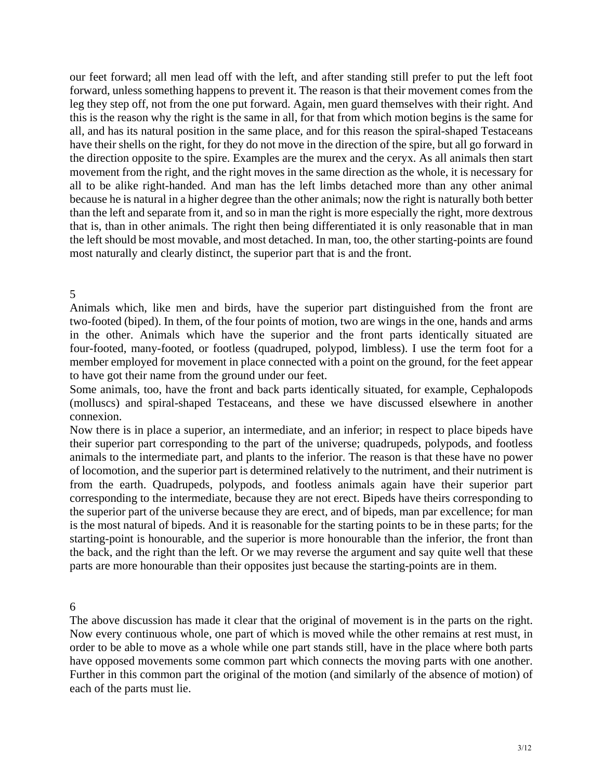our feet forward; all men lead off with the left, and after standing still prefer to put the left foot forward, unless something happens to prevent it. The reason is that their movement comes from the leg they step off, not from the one put forward. Again, men guard themselves with their right. And this is the reason why the right is the same in all, for that from which motion begins is the same for all, and has its natural position in the same place, and for this reason the spiral-shaped Testaceans have their shells on the right, for they do not move in the direction of the spire, but all go forward in the direction opposite to the spire. Examples are the murex and the ceryx. As all animals then start movement from the right, and the right moves in the same direction as the whole, it is necessary for all to be alike right-handed. And man has the left limbs detached more than any other animal because he is natural in a higher degree than the other animals; now the right is naturally both better than the left and separate from it, and so in man the right is more especially the right, more dextrous that is, than in other animals. The right then being differentiated it is only reasonable that in man the left should be most movable, and most detached. In man, too, the other starting-points are found most naturally and clearly distinct, the superior part that is and the front.

# 5

Animals which, like men and birds, have the superior part distinguished from the front are two-footed (biped). In them, of the four points of motion, two are wings in the one, hands and arms in the other. Animals which have the superior and the front parts identically situated are four-footed, many-footed, or footless (quadruped, polypod, limbless). I use the term foot for a member employed for movement in place connected with a point on the ground, for the feet appear to have got their name from the ground under our feet.

(molluscs) and spiral-shaped Testaceans, and these we have discussed elsewhere in another Some animals, too, have the front and back parts identically situated, for example, Cephalopods connexion.

their superior part corresponding to the part of the universe; quadrupeds, polypods, and footless Now there is in place a superior, an intermediate, and an inferior; in respect to place bipeds have animals to the intermediate part, and plants to the inferior. The reason is that these have no power of locomotion, and the superior part is determined relatively to the nutriment, and their nutriment is from the earth. Quadrupeds, polypods, and footless animals again have their superior part corresponding to the intermediate, because they are not erect. Bipeds have theirs corresponding to the superior part of the universe because they are erect, and of bipeds, man par excellence; for man is the most natural of bipeds. And it is reasonable for the starting points to be in these parts; for the starting-point is honourable, and the superior is more honourable than the inferior, the front than the back, and the right than the left. Or we may reverse the argument and say quite well that these parts are more honourable than their opposites just because the starting-points are in them.

# 6

The above discussion has made it clear that the original of movement is in the parts on the right. Now every continuous whole, one part of which is moved while the other remains at rest must, in order to be able to move as a whole while one part stands still, have in the place where both parts have opposed movements some common part which connects the moving parts with one another. Further in this common part the original of the motion (and similarly of the absence of motion) of each of the parts must lie.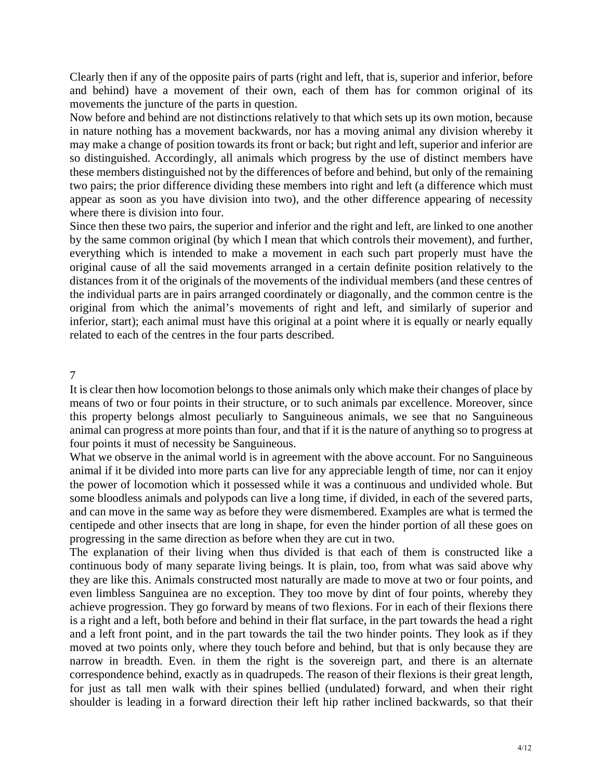Clearly then if any of the opposite pairs of parts (right and left, that is, superior and inferior, before and behind) have a movement of their own, each of them has for common original of its movements the juncture of the parts in question.

in nature nothing has a movement backwards, nor has a moving animal any division whereby it Now before and behind are not distinctions relatively to that which sets up its own motion, because may make a change of position towards its front or back; but right and left, superior and inferior are so distinguished. Accordingly, all animals which progress by the use of distinct members have these members distinguished not by the differences of before and behind, but only of the remaining two pairs; the prior difference dividing these members into right and left (a difference which must appear as soon as you have division into two), and the other difference appearing of necessity where there is division into four.

by the same common original (by which I mean that which controls their movement), and further, Since then these two pairs, the superior and inferior and the right and left, are linked to one another everything which is intended to make a movement in each such part properly must have the original cause of all the said movements arranged in a certain definite position relatively to the distances from it of the originals of the movements of the individual members (and these centres of the individual parts are in pairs arranged coordinately or diagonally, and the common centre is the original from which the animal's movements of right and left, and similarly of superior and inferior, start); each animal must have this original at a point where it is equally or nearly equally related to each of the centres in the four parts described.

# 7

It is clear then how locomotion belongs to those animals only which make their changes of place by means of two or four points in their structure, or to such animals par excellence. Moreover, since this property belongs almost peculiarly to Sanguineous animals, we see that no Sanguineous animal can progress at more points than four, and that if it is the nature of anything so to progress at four points it must of necessity be Sanguineous.

animal if it be divided into more parts can live for any appreciable length of time, nor can it enjoy What we observe in the animal world is in agreement with the above account. For no Sanguineous the power of locomotion which it possessed while it was a continuous and undivided whole. But some bloodless animals and polypods can live a long time, if divided, in each of the severed parts, and can move in the same way as before they were dismembered. Examples are what is termed the centipede and other insects that are long in shape, for even the hinder portion of all these goes on progressing in the same direction as before when they are cut in two.

they are like this. Animals constructed most naturally are made to move at two or four points, and The explanation of their living when thus divided is that each of them is constructed like a continuous body of many separate living beings. It is plain, too, from what was said above why even limbless Sanguinea are no exception. They too move by dint of four points, whereby they achieve progression. They go forward by means of two flexions. For in each of their flexions there is a right and a left, both before and behind in their flat surface, in the part towards the head a right and a left front point, and in the part towards the tail the two hinder points. They look as if they moved at two points only, where they touch before and behind, but that is only because they are narrow in breadth. Even. in them the right is the sovereign part, and there is an alternate correspondence behind, exactly as in quadrupeds. The reason of their flexions is their great length, for just as tall men walk with their spines bellied (undulated) forward, and when their right shoulder is leading in a forward direction their left hip rather inclined backwards, so that their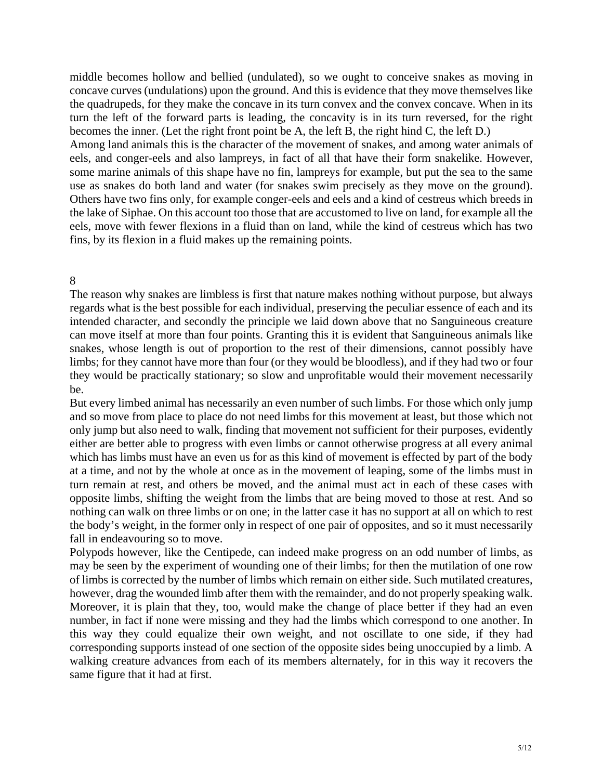middle becomes hollow and bellied (undulated), so we ought to conceive snakes as moving in concave curves (undulations) upon the ground. And this is evidence that they move themselves like the quadrupeds, for they make the concave in its turn convex and the convex concave. When in its turn the left of the forward parts is leading, the concavity is in its turn reversed, for the right becomes the inner. (Let the right front point be A, the left B, the right hind C, the left D.) Among land animals this is the character of the movement of snakes, and among water animals of eels, and conger-eels and also lampreys, in fact of all that have their form snakelike. However, some marine animals of this shape have no fin, lampreys for example, but put the sea to the same use as snakes do both land and water (for snakes swim precisely as they move on the ground). Others have two fins only, for example conger-eels and eels and a kind of cestreus which breeds in the lake of Siphae. On this account too those that are accustomed to live on land, for example all the eels, move with fewer flexions in a fluid than on land, while the kind of cestreus which has two fins, by its flexion in a fluid makes up the remaining points.

### 8

The reason why snakes are limbless is first that nature makes nothing without purpose, but always regards what is the best possible for each individual, preserving the peculiar essence of each and its intended character, and secondly the principle we laid down above that no Sanguineous creature can move itself at more than four points. Granting this it is evident that Sanguineous animals like snakes, whose length is out of proportion to the rest of their dimensions, cannot possibly have limbs; for they cannot have more than four (or they would be bloodless), and if they had two or four they would be practically stationary; so slow and unprofitable would their movement necessarily be.

only jump but also need to walk, finding that movement not sufficient for their purposes, evidently But every limbed animal has necessarily an even number of such limbs. For those which only jump and so move from place to place do not need limbs for this movement at least, but those which not either are better able to progress with even limbs or cannot otherwise progress at all every animal which has limbs must have an even us for as this kind of movement is effected by part of the body at a time, and not by the whole at once as in the movement of leaping, some of the limbs must in turn remain at rest, and others be moved, and the animal must act in each of these cases with opposite limbs, shifting the weight from the limbs that are being moved to those at rest. And so nothing can walk on three limbs or on one; in the latter case it has no support at all on which to rest the body's weight, in the former only in respect of one pair of opposites, and so it must necessarily fall in endeavouring so to move.

of limbs is corrected by the number of limbs which remain on either side. Such mutilated creatures, Polypods however, like the Centipede, can indeed make progress on an odd number of limbs, as may be seen by the experiment of wounding one of their limbs; for then the mutilation of one row however, drag the wounded limb after them with the remainder, and do not properly speaking walk. Moreover, it is plain that they, too, would make the change of place better if they had an even number, in fact if none were missing and they had the limbs which correspond to one another. In this way they could equalize their own weight, and not oscillate to one side, if they had corresponding supports instead of one section of the opposite sides being unoccupied by a limb. A walking creature advances from each of its members alternately, for in this way it recovers the same figure that it had at first.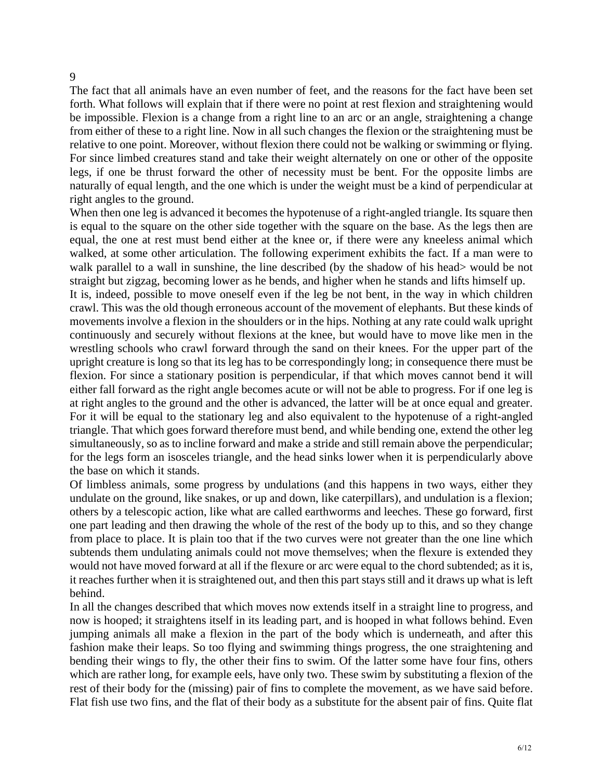#### 9

The fact that all animals have an even number of feet, and the reasons for the fact have been set forth. What follows will explain that if there were no point at rest flexion and straightening would be impossible. Flexion is a change from a right line to an arc or an angle, straightening a change from either of these to a right line. Now in all such changes the flexion or the straightening must be relative to one point. Moreover, without flexion there could not be walking or swimming or flying. For since limbed creatures stand and take their weight alternately on one or other of the opposite legs, if one be thrust forward the other of necessity must be bent. For the opposite limbs are naturally of equal length, and the one which is under the weight must be a kind of perpendicular at right angles to the ground.

walked, at some other articulation. The following experiment exhibits the fact. If a man were to When then one leg is advanced it becomes the hypotenuse of a right-angled triangle. Its square then is equal to the square on the other side together with the square on the base. As the legs then are equal, the one at rest must bend either at the knee or, if there were any kneeless animal which walk parallel to a wall in sunshine, the line described (by the shadow of his head> would be not straight but zigzag, becoming lower as he bends, and higher when he stands and lifts himself up.

It is, indeed, possible to move oneself even if the leg be not bent, in the way in which children crawl. This was the old though erroneous account of the movement of elephants. But these kinds of movements involve a flexion in the shoulders or in the hips. Nothing at any rate could walk upright continuously and securely without flexions at the knee, but would have to move like men in the wrestling schools who crawl forward through the sand on their knees. For the upper part of the upright creature is long so that its leg has to be correspondingly long; in consequence there must be flexion. For since a stationary position is perpendicular, if that which moves cannot bend it will either fall forward as the right angle becomes acute or will not be able to progress. For if one leg is at right angles to the ground and the other is advanced, the latter will be at once equal and greater. For it will be equal to the stationary leg and also equivalent to the hypotenuse of a right-angled triangle. That which goes forward therefore must bend, and while bending one, extend the other leg simultaneously, so as to incline forward and make a stride and still remain above the perpendicular; for the legs form an isosceles triangle, and the head sinks lower when it is perpendicularly above the base on which it stands.

one part leading and then drawing the whole of the rest of the body up to this, and so they change Of limbless animals, some progress by undulations (and this happens in two ways, either they undulate on the ground, like snakes, or up and down, like caterpillars), and undulation is a flexion; others by a telescopic action, like what are called earthworms and leeches. These go forward, first from place to place. It is plain too that if the two curves were not greater than the one line which subtends them undulating animals could not move themselves; when the flexure is extended they would not have moved forward at all if the flexure or arc were equal to the chord subtended; as it is, it reaches further when it is straightened out, and then this part stays still and it draws up what is left behind.

fashion make their leaps. So too flying and swimming things progress, the one straightening and In all the changes described that which moves now extends itself in a straight line to progress, and now is hooped; it straightens itself in its leading part, and is hooped in what follows behind. Even jumping animals all make a flexion in the part of the body which is underneath, and after this bending their wings to fly, the other their fins to swim. Of the latter some have four fins, others which are rather long, for example eels, have only two. These swim by substituting a flexion of the rest of their body for the (missing) pair of fins to complete the movement, as we have said before. Flat fish use two fins, and the flat of their body as a substitute for the absent pair of fins. Quite flat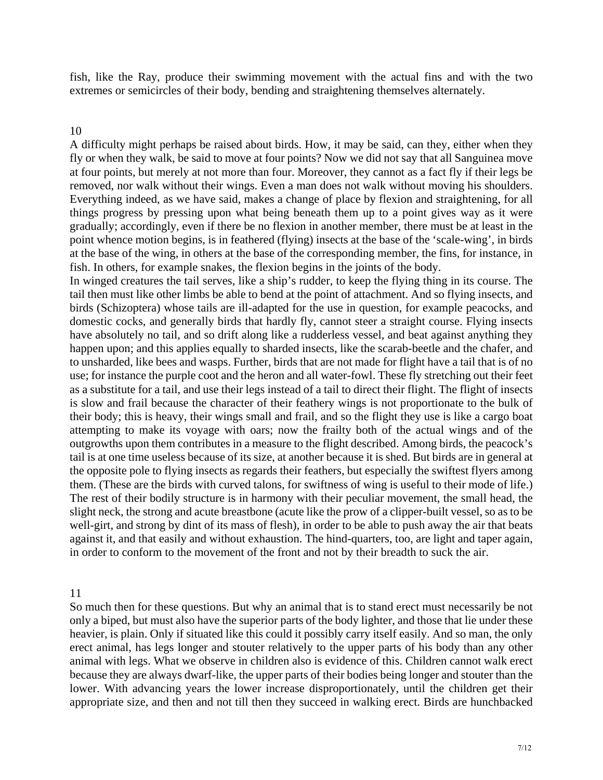fish, like the Ray, produce their swimming movement with the actual fins and with the two extremes or semicircles of their body, bending and straightening themselves alternately.

#### 10

A difficulty might perhaps be raised about birds. How, it may be said, can they, either when they fly or when they walk, be said to move at four points? Now we did not say that all Sanguinea move at four points, but merely at not more than four. Moreover, they cannot as a fact fly if their legs be removed, nor walk without their wings. Even a man does not walk without moving his shoulders. Everything indeed, as we have said, makes a change of place by flexion and straightening, for all things progress by pressing upon what being beneath them up to a point gives way as it were gradually; accordingly, even if there be no flexion in another member, there must be at least in the point whence motion begins, is in feathered (flying) insects at the base of the 'scale-wing', in birds at the base of the wing, in others at the base of the corresponding member, the fins, for instance, in fish. In others, for example snakes, the flexion begins in the joints of the body.

happen upon; and this applies equally to sharded insects, like the scarab-beetle and the chafer, and In winged creatures the tail serves, like a ship's rudder, to keep the flying thing in its course. The tail then must like other limbs be able to bend at the point of attachment. And so flying insects, and birds (Schizoptera) whose tails are ill-adapted for the use in question, for example peacocks, and domestic cocks, and generally birds that hardly fly, cannot steer a straight course. Flying insects have absolutely no tail, and so drift along like a rudderless vessel, and beat against anything they to unsharded, like bees and wasps. Further, birds that are not made for flight have a tail that is of no use; for instance the purple coot and the heron and all water-fowl. These fly stretching out their feet as a substitute for a tail, and use their legs instead of a tail to direct their flight. The flight of insects is slow and frail because the character of their feathery wings is not proportionate to the bulk of their body; this is heavy, their wings small and frail, and so the flight they use is like a cargo boat attempting to make its voyage with oars; now the frailty both of the actual wings and of the outgrowths upon them contributes in a measure to the flight described. Among birds, the peacock's tail is at one time useless because of its size, at another because it is shed. But birds are in general at the opposite pole to flying insects as regards their feathers, but especially the swiftest flyers among them. (These are the birds with curved talons, for swiftness of wing is useful to their mode of life.) The rest of their bodily structure is in harmony with their peculiar movement, the small head, the slight neck, the strong and acute breastbone (acute like the prow of a clipper-built vessel, so as to be well-girt, and strong by dint of its mass of flesh), in order to be able to push away the air that beats against it, and that easily and without exhaustion. The hind-quarters, too, are light and taper again, in order to conform to the movement of the front and not by their breadth to suck the air.

### 11

erect animal, has legs longer and stouter relatively to the upper parts of his body than any other nimal with legs. What we observe in children also is evidence of this. Children cannot walk erect a because they are always dwarf-like, the upper parts of their bodies being longer and stouter than the lower. With advancing years the lower increase disproportionately, until the children get their appropriate size, and then and not till then they succeed in walking erect. Birds are hunchbacked So much then for these questions. But why an animal that is to stand erect must necessarily be not only a biped, but must also have the superior parts of the body lighter, and those that lie under these heavier, is plain. Only if situated like this could it possibly carry itself easily. And so man, the only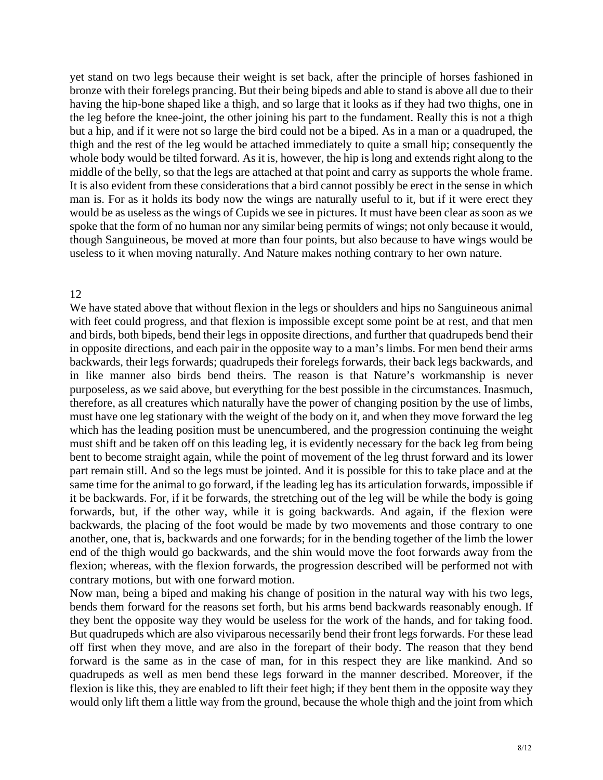yet stand on two legs because their weight is set back, after the principle of horses fashioned in bronze with their forelegs prancing. But their being bipeds and able to stand is above all due to their having the hip-bone shaped like a thigh, and so large that it looks as if they had two thighs, one in the leg before the knee-joint, the other joining his part to the fundament. Really this is not a thigh but a hip, and if it were not so large the bird could not be a biped. As in a man or a quadruped, the thigh and the rest of the leg would be attached immediately to quite a small hip; consequently the whole body would be tilted forward. As it is, however, the hip is long and extends right along to the middle of the belly, so that the legs are attached at that point and carry as supports the whole frame. It is also evident from these considerations that a bird cannot possibly be erect in the sense in which man is. For as it holds its body now the wings are naturally useful to it, but if it were erect they would be as useless as the wings of Cupids we see in pictures. It must have been clear as soon as we spoke that the form of no human nor any similar being permits of wings; not only because it would, though Sanguineous, be moved at more than four points, but also because to have wings would be useless to it when moving naturally. And Nature makes nothing contrary to her own nature.

# 12

purposeless, as we said above, but everything for the best possible in the circumstances. Inasmuch, therefore, as all creatures which naturally have the power of changing position by the use of limbs, must have one leg stationary with the weight of the body on it, and when they move forward the leg which has the leading position must be unencumbered, and the progression continuing the weight We have stated above that without flexion in the legs or shoulders and hips no Sanguineous animal with feet could progress, and that flexion is impossible except some point be at rest, and that men and birds, both bipeds, bend their legs in opposite directions, and further that quadrupeds bend their in opposite directions, and each pair in the opposite way to a man's limbs. For men bend their arms backwards, their legs forwards; quadrupeds their forelegs forwards, their back legs backwards, and in like manner also birds bend theirs. The reason is that Nature's workmanship is never must shift and be taken off on this leading leg, it is evidently necessary for the back leg from being bent to become straight again, while the point of movement of the leg thrust forward and its lower part remain still. And so the legs must be jointed. And it is possible for this to take place and at the same time for the animal to go forward, if the leading leg has its articulation forwards, impossible if it be backwards. For, if it be forwards, the stretching out of the leg will be while the body is going forwards, but, if the other way, while it is going backwards. And again, if the flexion were backwards, the placing of the foot would be made by two movements and those contrary to one another, one, that is, backwards and one forwards; for in the bending together of the limb the lower end of the thigh would go backwards, and the shin would move the foot forwards away from the flexion; whereas, with the flexion forwards, the progression described will be performed not with contrary motions, but with one forward motion.

would only lift them a little way from the ground, because the whole thigh and the joint from which Now man, being a biped and making his change of position in the natural way with his two legs, bends them forward for the reasons set forth, but his arms bend backwards reasonably enough. If they bent the opposite way they would be useless for the work of the hands, and for taking food. But quadrupeds which are also viviparous necessarily bend their front legs forwards. For these lead off first when they move, and are also in the forepart of their body. The reason that they bend forward is the same as in the case of man, for in this respect they are like mankind. And so quadrupeds as well as men bend these legs forward in the manner described. Moreover, if the flexion is like this, they are enabled to lift their feet high; if they bent them in the opposite way they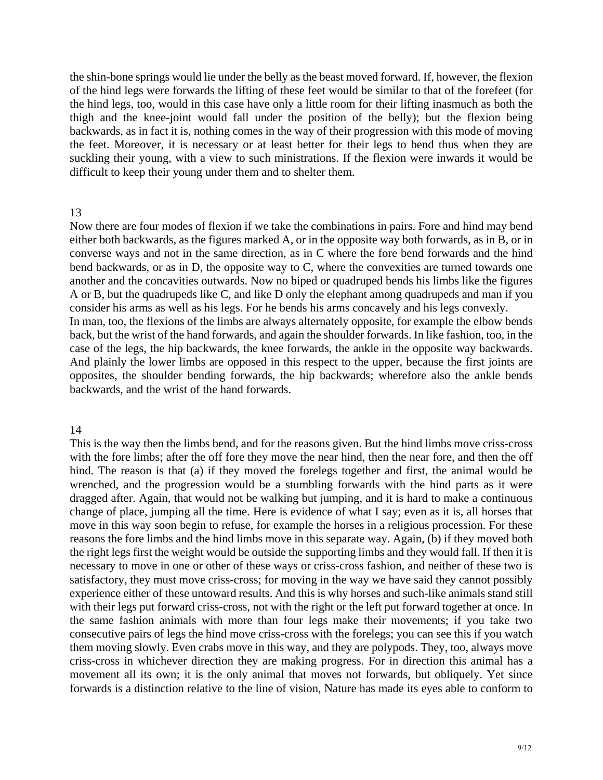the shin-bone springs would lie under the belly as the beast moved forward. If, however, the flexion of the hind legs were forwards the lifting of these feet would be similar to that of the forefeet (for the hind legs, too, would in this case have only a little room for their lifting inasmuch as both the thigh and the knee-joint would fall under the position of the belly); but the flexion being backwards, as in fact it is, nothing comes in the way of their progression with this mode of moving the feet. Moreover, it is necessary or at least better for their legs to bend thus when they are suckling their young, with a view to such ministrations. If the flexion were inwards it would be difficult to keep their young under them and to shelter them.

#### 13

Now there are four modes of flexion if we take the combinations in pairs. Fore and hind may bend either both backwards, as the figures marked A, or in the opposite way both forwards, as in B, or in converse ways and not in the same direction, as in C where the fore bend forwards and the hind bend backwards, or as in D, the opposite way to C, where the convexities are turned towards one another and the concavities outwards. Now no biped or quadruped bends his limbs like the figures A or B, but the quadrupeds like C, and like D only the elephant among quadrupeds and man if you consider his arms as well as his legs. For he bends his arms concavely and his legs convexly. In man, too, the flexions of the limbs are always alternately opposite, for example the elbow bends back, but the wrist of the hand forwards, and again the shoulder forwards. In like fashion, too, in the case of the legs, the hip backwards, the knee forwards, the ankle in the opposite way backwards. And plainly the lower limbs are opposed in this respect to the upper, because the first joints are opposites, the shoulder bending forwards, the hip backwards; wherefore also the ankle bends backwards, and the wrist of the hand forwards.

# 14

hind. The reason is that (a) if they moved the forelegs together and first, the animal would be the right legs first the weight would be outside the supporting limbs and they would fall. If then it is necessary to move in one or other of these ways or criss-cross fashion, and neither of these two is satisfactory, they must move criss-cross; for moving in the way we have said they cannot possibly experience either of these untoward results. And this is why horses and such-like animals stand still This is the way then the limbs bend, and for the reasons given. But the hind limbs move criss-cross with the fore limbs; after the off fore they move the near hind, then the near fore, and then the off wrenched, and the progression would be a stumbling forwards with the hind parts as it were dragged after. Again, that would not be walking but jumping, and it is hard to make a continuous change of place, jumping all the time. Here is evidence of what I say; even as it is, all horses that move in this way soon begin to refuse, for example the horses in a religious procession. For these reasons the fore limbs and the hind limbs move in this separate way. Again, (b) if they moved both with their legs put forward criss-cross, not with the right or the left put forward together at once. In the same fashion animals with more than four legs make their movements; if you take two consecutive pairs of legs the hind move criss-cross with the forelegs; you can see this if you watch them moving slowly. Even crabs move in this way, and they are polypods. They, too, always move criss-cross in whichever direction they are making progress. For in direction this animal has a movement all its own; it is the only animal that moves not forwards, but obliquely. Yet since forwards is a distinction relative to the line of vision, Nature has made its eyes able to conform to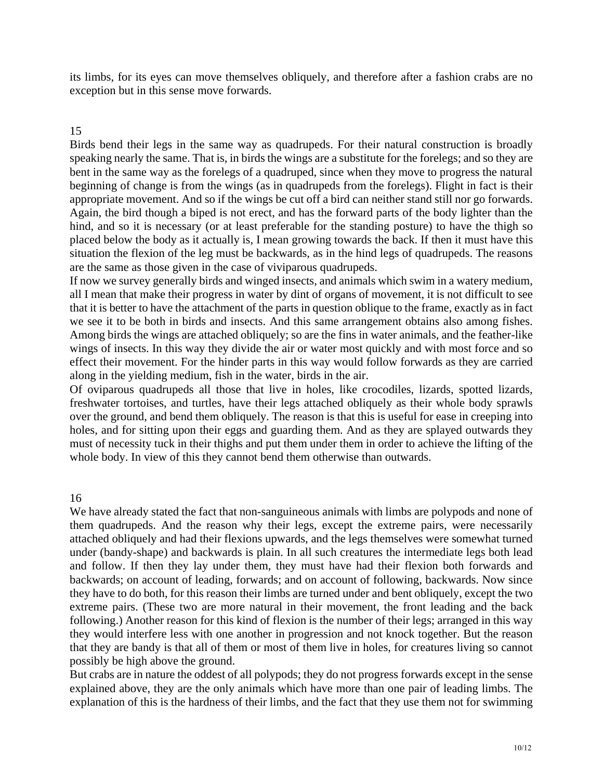its limbs, for its eyes can move themselves obliquely, and therefore after a fashion crabs are no exception but in this sense move forwards.

# 15

Birds bend their legs in the same way as quadrupeds. For their natural construction is broadly speaking nearly the same. That is, in birds the wings are a substitute for the forelegs; and so they are bent in the same way as the forelegs of a quadruped, since when they move to progress the natural beginning of change is from the wings (as in quadrupeds from the forelegs). Flight in fact is their appropriate movement. And so if the wings be cut off a bird can neither stand still nor go forwards. Again, the bird though a biped is not erect, and has the forward parts of the body lighter than the hind, and so it is necessary (or at least preferable for the standing posture) to have the thigh so placed below the body as it actually is, I mean growing towards the back. If then it must have this situation the flexion of the leg must be backwards, as in the hind legs of quadrupeds. The reasons are the same as those given in the case of viviparous quadrupeds.

If now we survey generally birds and winged insects, and animals which swim in a watery medium, effect their movement. For the hinder parts in this way would follow forwards as they are carried all I mean that make their progress in water by dint of organs of movement, it is not difficult to see that it is better to have the attachment of the parts in question oblique to the frame, exactly as in fact we see it to be both in birds and insects. And this same arrangement obtains also among fishes. Among birds the wings are attached obliquely; so are the fins in water animals, and the feather-like wings of insects. In this way they divide the air or water most quickly and with most force and so along in the yielding medium, fish in the water, birds in the air.

holes, and for sitting upon their eggs and guarding them. And as they are splayed outwards they Of oviparous quadrupeds all those that live in holes, like crocodiles, lizards, spotted lizards, freshwater tortoises, and turtles, have their legs attached obliquely as their whole body sprawls over the ground, and bend them obliquely. The reason is that this is useful for ease in creeping into must of necessity tuck in their thighs and put them under them in order to achieve the lifting of the whole body. In view of this they cannot bend them otherwise than outwards.

# 16

attached obliquely and had their flexions upwards, and the legs themselves were somewhat turned following.) Another reason for this kind of flexion is the number of their legs; arranged in this way they would interfere less with one another in progression and not knock together. But the reason that they are bandy is that all of them or most of them live in holes, for creatures living so cannot possibly be high above the ground. We have already stated the fact that non-sanguineous animals with limbs are polypods and none of them quadrupeds. And the reason why their legs, except the extreme pairs, were necessarily under (bandy-shape) and backwards is plain. In all such creatures the intermediate legs both lead and follow. If then they lay under them, they must have had their flexion both forwards and backwards; on account of leading, forwards; and on account of following, backwards. Now since they have to do both, for this reason their limbs are turned under and bent obliquely, except the two extreme pairs. (These two are more natural in their movement, the front leading and the back

But crabs are in nature the oddest of all polypods; they do not progress forwards except in the sense explained above, they are the only animals which have more than one pair of leading limbs. The explanation of this is the hardness of their limbs, and the fact that they use them not for swimming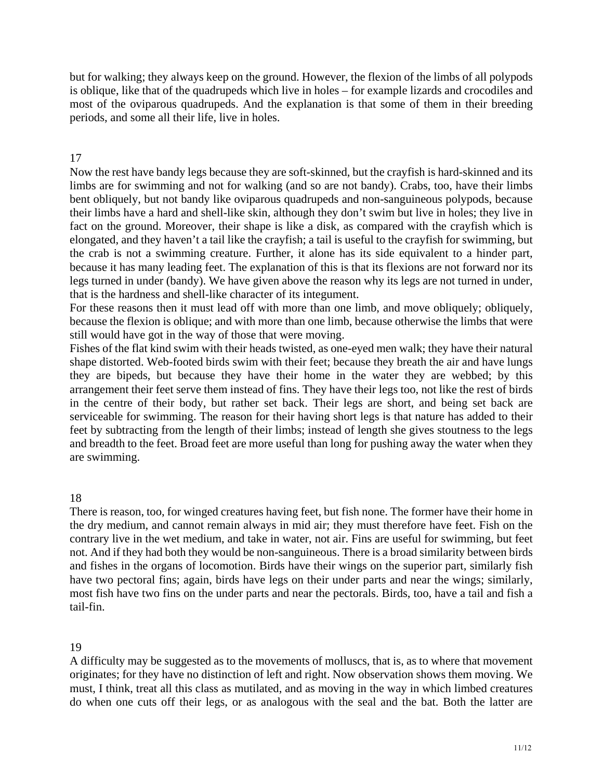but for walking; they always keep on the ground. However, the flexion of the limbs of all polypods is oblique, like that of the quadrupeds which live in holes – for example lizards and crocodiles and most of the oviparous quadrupeds. And the explanation is that some of them in their breeding periods, and some all their life, live in holes.

# 17

Now the rest have bandy legs because they are soft-skinned, but the crayfish is hard-skinned and its limbs are for swimming and not for walking (and so are not bandy). Crabs, too, have their limbs legs turned in under (bandy). We have given above the reason why its legs are not turned in under, that is the hardness and shell-like character of its integument. bent obliquely, but not bandy like oviparous quadrupeds and non-sanguineous polypods, because their limbs have a hard and shell-like skin, although they don't swim but live in holes; they live in fact on the ground. Moreover, their shape is like a disk, as compared with the crayfish which is elongated, and they haven't a tail like the crayfish; a tail is useful to the crayfish for swimming, but the crab is not a swimming creature. Further, it alone has its side equivalent to a hinder part, because it has many leading feet. The explanation of this is that its flexions are not forward nor its

For these reasons then it must lead off with more than one limb, and move obliquely; obliquely, because the flexion is oblique; and with more than one limb, because otherwise the limbs that were still would have got in the way of those that were moving.

Fishes of the flat kind swim with their heads twisted, as one-eyed men walk; they have their natural shape distorted. Web-footed birds swim with their feet; because they breath the air and have lungs they are bipeds, but because they have their home in the water they are webbed; by this arrangement their feet serve them instead of fins. They have their legs too, not like the rest of birds in the centre of their body, but rather set back. Their legs are short, and being set back are serviceable for swimming. The reason for their having short legs is that nature has added to their feet by subtracting from the length of their limbs; instead of length she gives stoutness to the legs and breadth to the feet. Broad feet are more useful than long for pushing away the water when they are swimming.

# 18

There is reason, too, for winged creatures having feet, but fish none. The former have their home in the dry medium, and cannot remain always in mid air; they must therefore have feet. Fish on the contrary live in the wet medium, and take in water, not air. Fins are useful for swimming, but feet not. And if they had both they would be non-sanguineous. There is a broad similarity between birds and fishes in the organs of locomotion. Birds have their wings on the superior part, similarly fish have two pectoral fins; again, birds have legs on their under parts and near the wings; similarly, most fish have two fins on the under parts and near the pectorals. Birds, too, have a tail and fish a tail-fin.

# 9 1

A difficulty may be suggested as to the movements of molluscs, that is, as to where that movement originates; for they have no distinction of left and right. Now observation shows them moving. We must, I think, treat all this class as mutilated, and as moving in the way in which limbed creatures do when one cuts off their legs, or as analogous with the seal and the bat. Both the latter are